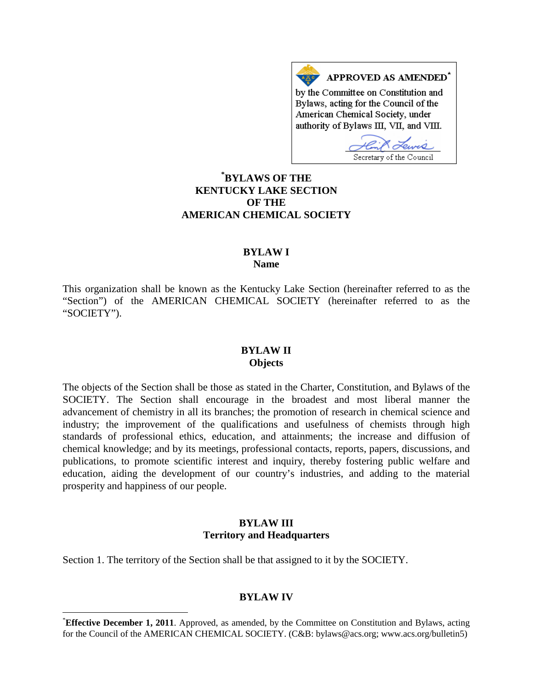APPROVED AS AMENDED<sup>\*</sup> by the Committee on Constitution and Bylaws, acting for the Council of the American Chemical Society, under authority of Bylaws III, VII, and VIII.

Secretary of the Council

**[\\*](#page-0-0) BYLAWS OF THE KENTUCKY LAKE SECTION OF THE AMERICAN CHEMICAL SOCIETY**

## **BYLAW I Name**

This organization shall be known as the Kentucky Lake Section (hereinafter referred to as the "Section") of the AMERICAN CHEMICAL SOCIETY (hereinafter referred to as the "SOCIETY").

#### **BYLAW II Objects**

The objects of the Section shall be those as stated in the Charter, Constitution, and Bylaws of the SOCIETY. The Section shall encourage in the broadest and most liberal manner the advancement of chemistry in all its branches; the promotion of research in chemical science and industry; the improvement of the qualifications and usefulness of chemists through high standards of professional ethics, education, and attainments; the increase and diffusion of chemical knowledge; and by its meetings, professional contacts, reports, papers, discussions, and publications, to promote scientific interest and inquiry, thereby fostering public welfare and education, aiding the development of our country's industries, and adding to the material prosperity and happiness of our people.

## **BYLAW III Territory and Headquarters**

Section 1. The territory of the Section shall be that assigned to it by the SOCIETY.

#### **BYLAW IV**

<span id="page-0-0"></span> <sup>\*</sup> **Effective December 1, 2011**. Approved, as amended, by the Committee on Constitution and Bylaws, acting for the Council of the AMERICAN CHEMICAL SOCIETY. (C&B: bylaws@acs.org; www.acs.org/bulletin5)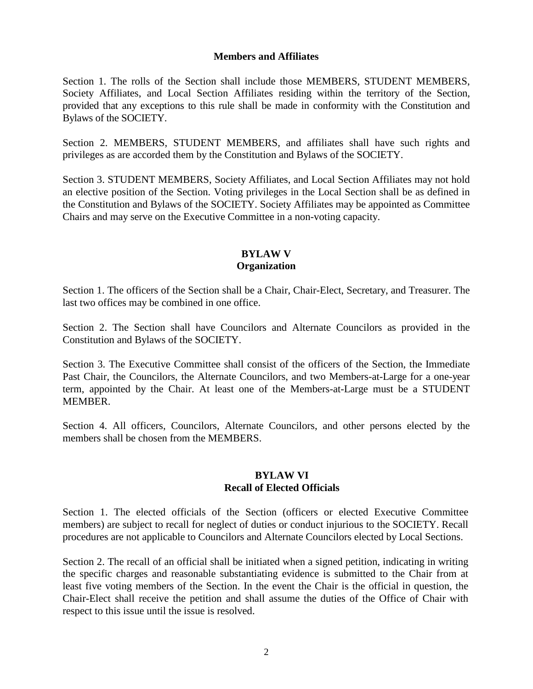#### **Members and Affiliates**

Section 1. The rolls of the Section shall include those MEMBERS, STUDENT MEMBERS, Society Affiliates, and Local Section Affiliates residing within the territory of the Section, provided that any exceptions to this rule shall be made in conformity with the Constitution and Bylaws of the SOCIETY.

Section 2. MEMBERS, STUDENT MEMBERS, and affiliates shall have such rights and privileges as are accorded them by the Constitution and Bylaws of the SOCIETY.

Section 3. STUDENT MEMBERS, Society Affiliates, and Local Section Affiliates may not hold an elective position of the Section. Voting privileges in the Local Section shall be as defined in the Constitution and Bylaws of the SOCIETY. Society Affiliates may be appointed as Committee Chairs and may serve on the Executive Committee in a non-voting capacity.

## **BYLAW V Organization**

Section 1. The officers of the Section shall be a Chair, Chair-Elect, Secretary, and Treasurer. The last two offices may be combined in one office.

Section 2. The Section shall have Councilors and Alternate Councilors as provided in the Constitution and Bylaws of the SOCIETY.

Section 3. The Executive Committee shall consist of the officers of the Section, the Immediate Past Chair, the Councilors, the Alternate Councilors, and two Members-at-Large for a one-year term, appointed by the Chair. At least one of the Members-at-Large must be a STUDENT MEMBER.

Section 4. All officers, Councilors, Alternate Councilors, and other persons elected by the members shall be chosen from the MEMBERS.

## **BYLAW VI Recall of Elected Officials**

Section 1. The elected officials of the Section (officers or elected Executive Committee members) are subject to recall for neglect of duties or conduct injurious to the SOCIETY. Recall procedures are not applicable to Councilors and Alternate Councilors elected by Local Sections.

Section 2. The recall of an official shall be initiated when a signed petition, indicating in writing the specific charges and reasonable substantiating evidence is submitted to the Chair from at least five voting members of the Section. In the event the Chair is the official in question, the Chair-Elect shall receive the petition and shall assume the duties of the Office of Chair with respect to this issue until the issue is resolved.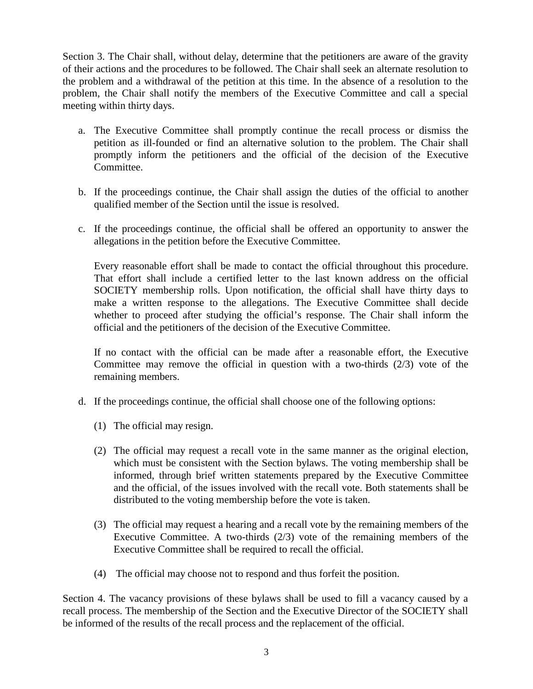Section 3. The Chair shall, without delay, determine that the petitioners are aware of the gravity of their actions and the procedures to be followed. The Chair shall seek an alternate resolution to the problem and a withdrawal of the petition at this time. In the absence of a resolution to the problem, the Chair shall notify the members of the Executive Committee and call a special meeting within thirty days.

- a. The Executive Committee shall promptly continue the recall process or dismiss the petition as ill-founded or find an alternative solution to the problem. The Chair shall promptly inform the petitioners and the official of the decision of the Executive Committee.
- b. If the proceedings continue, the Chair shall assign the duties of the official to another qualified member of the Section until the issue is resolved.
- c. If the proceedings continue, the official shall be offered an opportunity to answer the allegations in the petition before the Executive Committee.

Every reasonable effort shall be made to contact the official throughout this procedure. That effort shall include a certified letter to the last known address on the official SOCIETY membership rolls. Upon notification, the official shall have thirty days to make a written response to the allegations. The Executive Committee shall decide whether to proceed after studying the official's response. The Chair shall inform the official and the petitioners of the decision of the Executive Committee.

If no contact with the official can be made after a reasonable effort, the Executive Committee may remove the official in question with a two-thirds (2/3) vote of the remaining members.

- d. If the proceedings continue, the official shall choose one of the following options:
	- (1) The official may resign.
	- (2) The official may request a recall vote in the same manner as the original election, which must be consistent with the Section bylaws. The voting membership shall be informed, through brief written statements prepared by the Executive Committee and the official, of the issues involved with the recall vote. Both statements shall be distributed to the voting membership before the vote is taken.
	- (3) The official may request a hearing and a recall vote by the remaining members of the Executive Committee. A two-thirds (2/3) vote of the remaining members of the Executive Committee shall be required to recall the official.
	- (4) The official may choose not to respond and thus forfeit the position.

Section 4. The vacancy provisions of these bylaws shall be used to fill a vacancy caused by a recall process. The membership of the Section and the Executive Director of the SOCIETY shall be informed of the results of the recall process and the replacement of the official.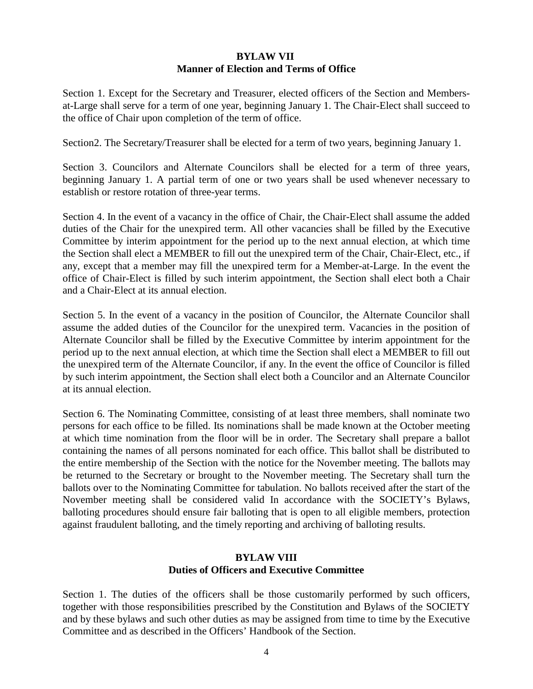# **BYLAW VII Manner of Election and Terms of Office**

Section 1. Except for the Secretary and Treasurer, elected officers of the Section and Membersat-Large shall serve for a term of one year, beginning January 1. The Chair-Elect shall succeed to the office of Chair upon completion of the term of office.

Section2. The Secretary/Treasurer shall be elected for a term of two years, beginning January 1.

Section 3. Councilors and Alternate Councilors shall be elected for a term of three years, beginning January 1. A partial term of one or two years shall be used whenever necessary to establish or restore rotation of three-year terms.

Section 4. In the event of a vacancy in the office of Chair, the Chair-Elect shall assume the added duties of the Chair for the unexpired term. All other vacancies shall be filled by the Executive Committee by interim appointment for the period up to the next annual election, at which time the Section shall elect a MEMBER to fill out the unexpired term of the Chair, Chair-Elect, etc., if any, except that a member may fill the unexpired term for a Member-at-Large. In the event the office of Chair-Elect is filled by such interim appointment, the Section shall elect both a Chair and a Chair-Elect at its annual election.

Section 5. In the event of a vacancy in the position of Councilor, the Alternate Councilor shall assume the added duties of the Councilor for the unexpired term. Vacancies in the position of Alternate Councilor shall be filled by the Executive Committee by interim appointment for the period up to the next annual election, at which time the Section shall elect a MEMBER to fill out the unexpired term of the Alternate Councilor, if any. In the event the office of Councilor is filled by such interim appointment, the Section shall elect both a Councilor and an Alternate Councilor at its annual election.

Section 6. The Nominating Committee, consisting of at least three members, shall nominate two persons for each office to be filled. Its nominations shall be made known at the October meeting at which time nomination from the floor will be in order. The Secretary shall prepare a ballot containing the names of all persons nominated for each office. This ballot shall be distributed to the entire membership of the Section with the notice for the November meeting. The ballots may be returned to the Secretary or brought to the November meeting. The Secretary shall turn the ballots over to the Nominating Committee for tabulation. No ballots received after the start of the November meeting shall be considered valid In accordance with the SOCIETY's Bylaws, balloting procedures should ensure fair balloting that is open to all eligible members, protection against fraudulent balloting, and the timely reporting and archiving of balloting results.

# **BYLAW VIII Duties of Officers and Executive Committee**

Section 1. The duties of the officers shall be those customarily performed by such officers, together with those responsibilities prescribed by the Constitution and Bylaws of the SOCIETY and by these bylaws and such other duties as may be assigned from time to time by the Executive Committee and as described in the Officers' Handbook of the Section.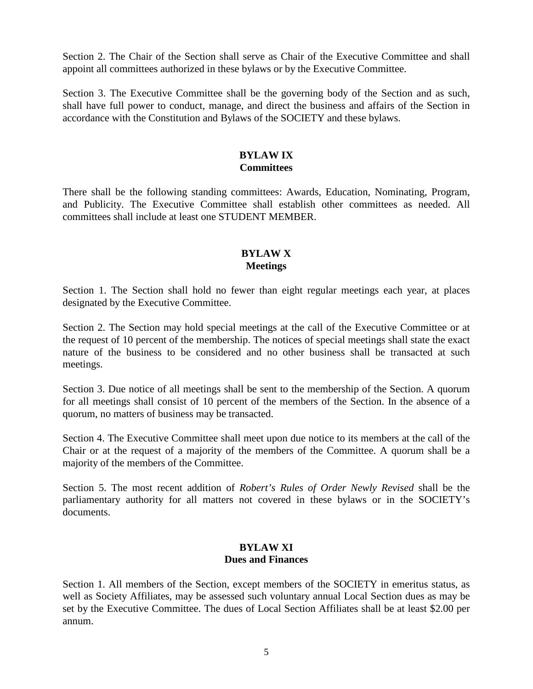Section 2. The Chair of the Section shall serve as Chair of the Executive Committee and shall appoint all committees authorized in these bylaws or by the Executive Committee.

Section 3. The Executive Committee shall be the governing body of the Section and as such, shall have full power to conduct, manage, and direct the business and affairs of the Section in accordance with the Constitution and Bylaws of the SOCIETY and these bylaws.

## **BYLAW IX Committees**

There shall be the following standing committees: Awards, Education, Nominating, Program, and Publicity. The Executive Committee shall establish other committees as needed. All committees shall include at least one STUDENT MEMBER.

# **BYLAW X Meetings**

Section 1. The Section shall hold no fewer than eight regular meetings each year, at places designated by the Executive Committee.

Section 2. The Section may hold special meetings at the call of the Executive Committee or at the request of 10 percent of the membership. The notices of special meetings shall state the exact nature of the business to be considered and no other business shall be transacted at such meetings.

Section 3. Due notice of all meetings shall be sent to the membership of the Section. A quorum for all meetings shall consist of 10 percent of the members of the Section. In the absence of a quorum, no matters of business may be transacted.

Section 4. The Executive Committee shall meet upon due notice to its members at the call of the Chair or at the request of a majority of the members of the Committee. A quorum shall be a majority of the members of the Committee.

Section 5. The most recent addition of *Robert's Rules of Order Newly Revised* shall be the parliamentary authority for all matters not covered in these bylaws or in the SOCIETY's documents.

# **BYLAW XI Dues and Finances**

Section 1. All members of the Section, except members of the SOCIETY in emeritus status, as well as Society Affiliates, may be assessed such voluntary annual Local Section dues as may be set by the Executive Committee. The dues of Local Section Affiliates shall be at least \$2.00 per annum.